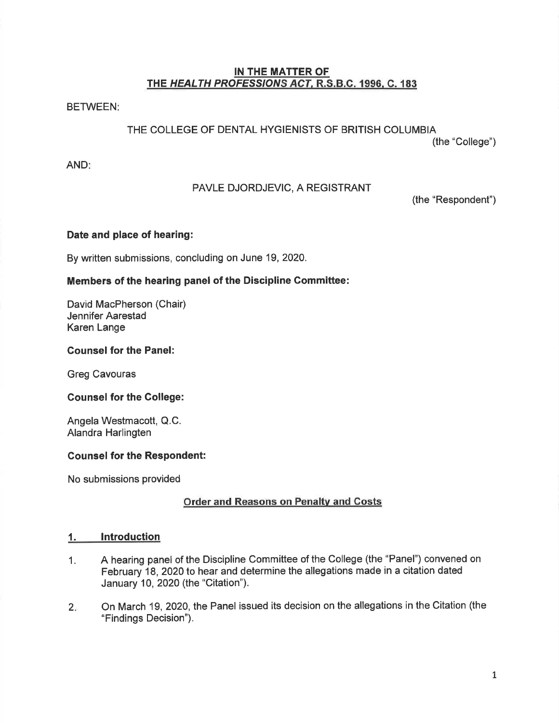### IN THE MATTER OF THE HEALTH PROFESSIONS ACT, R.S.B.C. 1996, C. 183

**BETWEEN!** 

# THE COLLEGE OF DENTAL HYGIENISTS OF BRITISH COLUMBIA

(the "College")

AND

# PAVLE DJORDJEVIC, A REGISTRANT

(the "Respondent")

# Date and place of hearing:

By written submissions, concluding on June 19,2020.

# Members of the hearing panel of the Discipline Gommittee:

David MacPherson (Chair) Jennifer Aarestad Karen Lange

# Gounsel for the Panel:

Greg Cavouras

### Gounsel for the College:

Angela Westmacott, Q.C. Alandra Harlingten

# Counsel for the Respondent:

No submissions provided

# Order and Reasons on Penalty and Costs

### 1. lntroduction

- 1. A hearing panel of the Discipline Committee of the College (the "Panel") convened on February 18,2020 to hear and determine the allegations made in a citation dated January 10,2020 (the "Citation").
- On March 19,2020, the Panel issued its decision on the allegations in the Citation (the "Findings Decision").  $2.$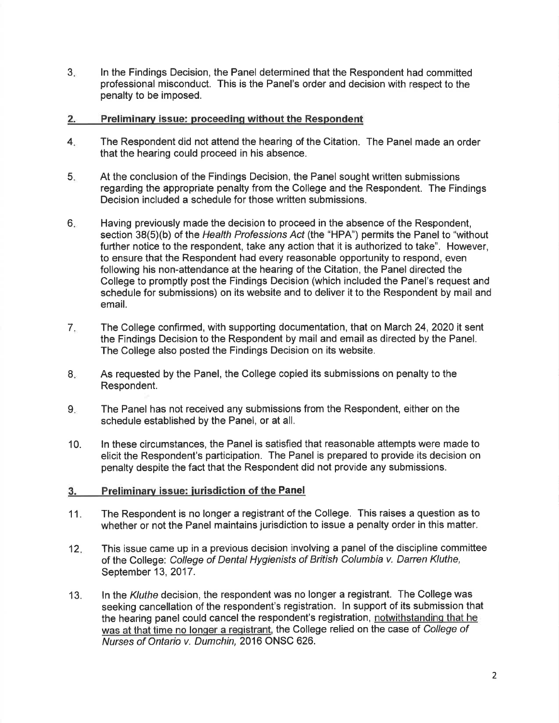3 ln the Findings Decision, the Panel determined that the Respondent had committed professional misconduct. This is the Panel's order and decision with respect to the penalty to be imposed.

#### 2. Preliminarv issue: proceedinq without the Respondent

- The Respondent did not attend the hearing of the Citation. The Panel made an order that the hearing could proceed in his absence.  $4_{\cdot}$
- At the conclusion of the Findings Decision, the Panel sought written submissions regarding the appropriate penalty from the College and the Respondent. The Findings Decision included a schedule for those written submissions. 5
- Having previously made the decision to proceed in the absence of the Respondent, section 38(5)(b) of the Health Professions Act (the "HPA") permits the Panel to "without further notice to the respondent, take any action that it is authorized to take". However, to ensure that the Respondent had every reasonable opportunity to respond, even following his non-attendance at the hearing of the Citation, the Panel directed the College to promptly post the Findings Decision (which included the Panel's request and schedule for submissions) on its website and to deliver it to the Respondent by mail and email. 6
- The College confirmed, with supporting documentation, that on March 24,2020 it sent the Findings Decision to the Respondent by mail and email as directed by the Panel. The College also posted the Findings Decision on its website. 7
- $8<sub>z</sub>$ As requested by the Panel, the College copied its submissions on penalty to the Respondent.
- $9.$ The Panel has not received any submissions from the Respondent, either on the schedule established by the Panel, or at all.
- 10. ln these circumstances, the Panel is satisfied that reasonable attempts were made to elicit the Respondent's participation. The Panel is prepared to provide its decision on penalty despite the fact that the Respondent did not provide any submissions.

#### 3. Preliminary issue: jurisdiction of the Panel

- 11. The Respondent is no longer a registrant of the College. This raises a question as to whether or not the Panel maintains jurisdiction to issue a penalty order in this matter.
- This issue came up in a previous decision involving a panel of the discipline committee of the College: College of Dental Hygienists of British Columbia v. Darren Kuthe, September 13,2017. 12
- ln the Kuthe decision, the respondent was no longer a registrant. The College was seeking cancellation of the respondent's registration. ln support of its submission that the hearing panel could cancel the respondent's registration, notwithstanding that he was at that time no longer a registrant, the College relied on the case of College of Nurses of Ontario v. Dumchin,2016 ONSC 626. 13.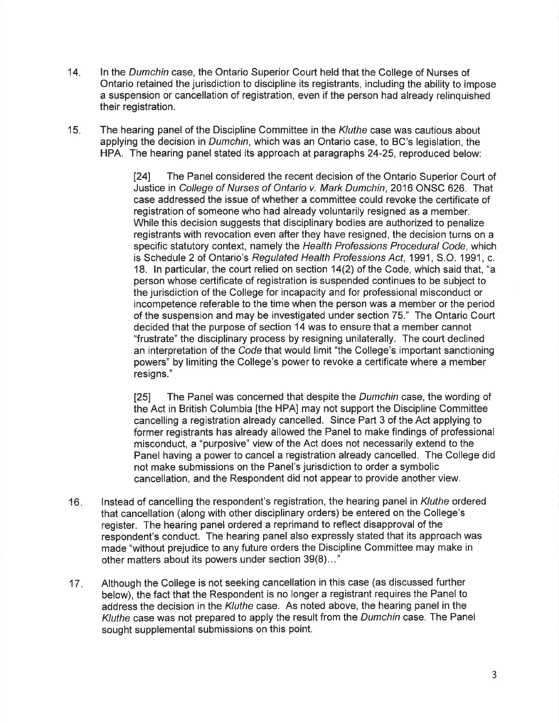- 14. ln the Dumchin case, the Ontario Superior Court held that the College of Nurses of Ontario retained the jurisdiction to discipline its registrants, including the ability to impose a suspension or cancellation of registration, even if the person had already relinquished their registration.
- 15. The hearing panel of the Discipline Committee in the Kluthe case was cautious about applying the decision in Dumchin, which was an Ontario case, to BC's legislation, the HPA. The hearing panel stated its approach at paragraphs24-25, reproduced below:

l24l The Panel considered the recent decision of the Ontario Superior Court of Justice in College of Nurses of Ontario v. Mark Dumchin,2016 ONSC 626. That case addressed the issue of whether a committee could revoke the certificate of registration of someone who had already voluntarily resigned as a member. While this decision suggests that disciplinary bodies are authorized to penalize registrants with revocation even after they have resigned, the decision turns on a specific statutory context, namely the Health Professions Procedural Code, which is Schedule 2 of Ontario's Regulated Health Professions Acf, 1991, S.O. 1991, c. 18. ln particular, the court relied on section 14(2) of the Code, which said that, "a person whose certificate of registration is suspended continues to be subject to the jurisdiction of the College for incapacity and for professional misconduct or incompetence referable to the time when the person was a member or the period of the suspension and may be investigated under section 75." The Ontario Court decided that the purpose of section 14 was to ensure that a member cannot "frustrate" the disciplinary process by resigning unilaterally. The court declined an interpretation of the Code that would limit "the College's important sanctioning powers" by limiting the College's power to revoke a certificate where a member resigns."

[25] The Panel was concerned that despite the *Dumchin* case, the wording of the Act in British Columbia [the HPA] may not support the Discipline Committee cancelling a registration already cancelled. Since Part 3 of the Act applying to former registrants has already allowed the Panel to make findings of professional misconduct, a "purposive" view of the Act does not necessarily extend to the Panel having a power to cancel a registration already cancelled. The College did not make submissions on the Panel's jurisdiction to order a symbolic cancellation, and the Respondent did not appear to provide another view.

- 16 Instead of cancelling the respondent's registration, the hearing panel in Kluthe ordered that cancellation (along with other disciplinary orders) be entered on the College's register. The hearing panel ordered a reprimand to reflect disapproval of the respondent's conduct. The hearing panel also expressly stated that its approach was made "without prejudice to any future orders the Discipline Committee may make in other matters about its powers under section 39(8)...'
- Although the College is not seeking cancellation in this case (as discussed further below), the fact that the Respondent is no longer a registrant requires the Panel to address the decision in the Kluthe case. As noted above, the hearing panel in the Kuthe case was not prepared to apply the result from the Dumchin case. The Panel sought supplemental submissions on this point. 17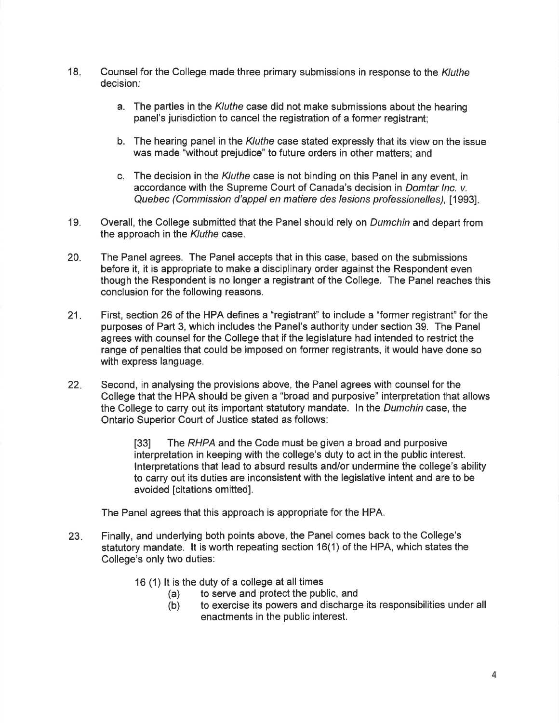- 18. Counsel for the College made three primary submissions in response to the Kluthe decision;
	- a. The parties in the Kluthe case did not make submissions about the hearing panel's jurisdiction to cancel the registration of a former registrant;
	- b. The hearing panel in the Kluthe case stated expressly that its view on the issue was made "without prejudice" to future orders in other matters; and
	- c. The decision in the Kluthe case is not binding on this Panel in any event, in accordance with the Supreme Court of Canada's decision in Domtar lnc. v. Quebec (Commission d'appel en matiere des lesions professionelles), [1993].
- 19. Overall, the College submitted that the Panel should rely on Dumchin and depart from the approach in the Kluthe case.
- 20. The Panel agrees. The Panel accepts that in this case, based on the submissions before it, it is appropriate to make a disciplinary order against the Respondent even though the Respondent is no longer a registrant of the College. The Panel reaches this conclusion for the following reasons.
- 21. First, section 26 of the HPA defines a "registrant" to include a "former registrant" for the purposes of Part 3, which includes the Panel's authority under section 39. The Panel agrees with counsel for the College that if the legislature had intended to restrict the range of penalties that could be imposed on former registrants, it would have done so with express language.
- 22 Second, in analysing the provisions above, the Panel agrees with counsel for the College that the HPA should be given a "broad and purposive" interpretation that allows the College to carry out its important statutory mandate. In the *Dumchin* case, the Ontario Superior Court of Justice stated as follows:

I33l The RHPA and the Code must be given a broad and purposive interpretation in keeping with the college's duty to act in the public interest. lnterpretations that lead to absurd results and/or undermine the college's ability to carry out its duties are inconsistent with the legislative intent and are to be avoided [citations omitted].

The Panel agrees that this approach is appropriate for the HPA.

- 23 Finally, and underlying both points above, the Panel comes back to the College's statutory mandate. lt is worth repeating section 16(1) of the HPA, which states the College's only two duties:
	- -
	- 16(1) It is the duty of a college at all times<br>
	(a) to serve and protect the public, and<br>
	(b) to exercise its powers and discharge its responsibilities under all enactments in the public interest.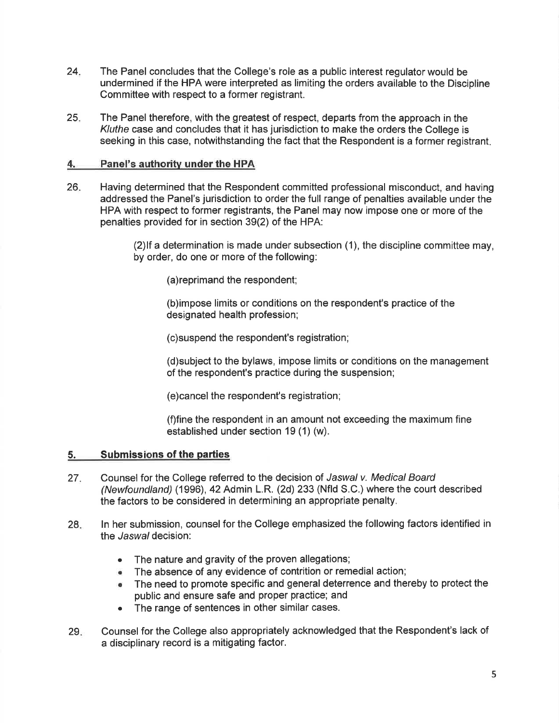- 24. The Panel concludes that the College's role as a public interest regulator would be undermined if the HPA were interpreted as limiting the orders available to the Discipline Committee with respect to a former registrant.
- 25 The Panel therefore, with the greatest of respect, departs from the approach in the Kuthe case and concludes that it has jurisdiction to make the orders the College is seeking in this case, notwithstanding the fact that the Respondent is a former registrant

# 4. Panel's authority under the HPA

Having determined that the Respondent committed professional misconduct, and having addressed the Panel's jurisdiction to order the full range of penalties available under the HPA with respect to former registrants, the Panel may now impose one or more of the penalties provided for in section 39(2) of the HPA: 26

> (2)lf a determination is made under subsection (1), the discipline committee may, by order, do one or more of the following:

(a)reprimand the respondent;

(b)impose limits or conditions on the respondent's practice of the designated health profession;

(c)suspend the respondent's registration;

(d)subject to the bylaws, impose limits or conditions on the management of the respondent's practice during the suspension;

(e)cancel the respondent's registration;

(f)fine the respondent in an amount not exceeding the maximum fine established under section 19 (1) (w).

# 5. Submissions of the parties

- 27. Counsel for the College referred to the decision of Jaswal v. Medical Board (Newfoundland) (1996),42 Admin L.R. (2d) 233 (Nfld S.C.) where the court described the factors to be considered in determining an appropriate penalty.
- ln her submission, counsel for the College emphasized the following factors identified in the *Jaswal* decision: 28
	- . The nature and gravity of the proven allegations;
	- . The absence of any evidence of contrition or remedial action;
	- . The need to promote specific and general deterrence and thereby to protect the public and ensure safe and proper practice; and
	- . The range of sentences in other similar cases.
- Counsel for the College also appropriately acknowledged that the Respondent's lack of a disciplinary record is a mitigating factor.  $29.$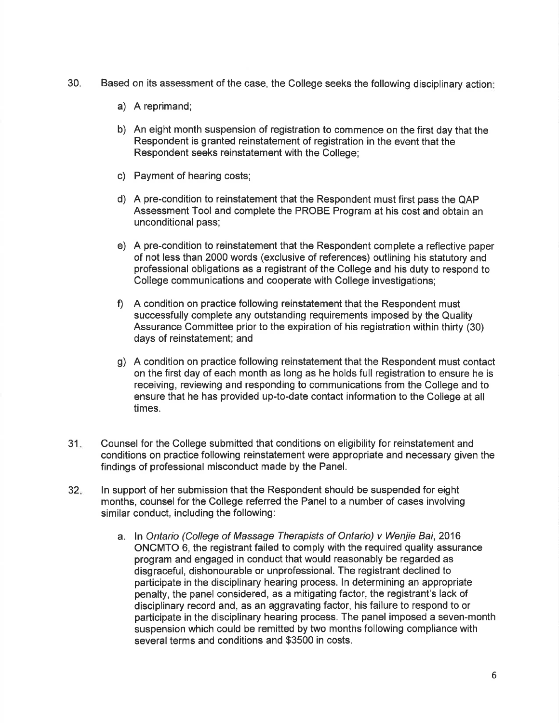- 30. Based on its assessment of the case, the College seeks the following disciplinary action
	- a) A reprimand;
	- b) An eight month suspension of registration to commence on the first day that the Respondent is granted reinstatement of registration in the event that the Respondent seeks reinstatement with the College;
	- c) Payment of hearing costs;
	- d) A pre-condition to reinstatement that the Respondent must first pass the QAP Assessment Tool and complete the PROBE Program at his cost and obtain an unconditional pass;
	- e) A pre-condition to reinstatement that the Respondent complete a reflective paper of not less than 2000 words (exclusive of references) outlining his statutory and professional obligations as a registrant of the College and his duty to respond to College communications and cooperate with College investigations;
	- f) <sup>A</sup>condition on practice following reinstatement that the Respondent must successfully complete any outstanding requirements imposed by the Quality Assurance Committee prior to the expiration of his registration within thirty (30) days of reinstatement; and
	- g) A condition on practice following reinstatement that the Respondent must contact on the first day of each month as long as he holds full registration to ensure he is receiving, reviewing and responding to communications from the College and to ensure that he has provided up-to-date contact information to the College at all times.
- 31. Counsel for the College submitted that conditions on eligibility for reinstatement and conditions on practice following reinstatement were appropriate and necessary given the findings of professional misconduct made by the Panel.
- ln support of her submission that the Respondent should be suspended for eight months, counsel for the College referred the Panel to a number of cases involving similar conduct, including the following: 32
	- a. In Ontario (College of Massage Therapists of Ontario) v Wenjie Bai, 2016 ONCMTO 6, the registrant failed to comply with the required quality assurance program and engaged in conduct that would reasonably be regarded as disgraceful, dishonourable or unprofessional. The registrant declined to participate in the disciplinary hearing process. ln determining an appropriate penalty, the panel considered, as a mitigating factor, the registrant's lack of disciplinary record and, as an aggravating factor, his failure to respond to or participate in the disciplinary hearing process. The panel imposed a seven-month suspension which could be remitted by two months following compliance with several terms and conditions and \$3500 in costs.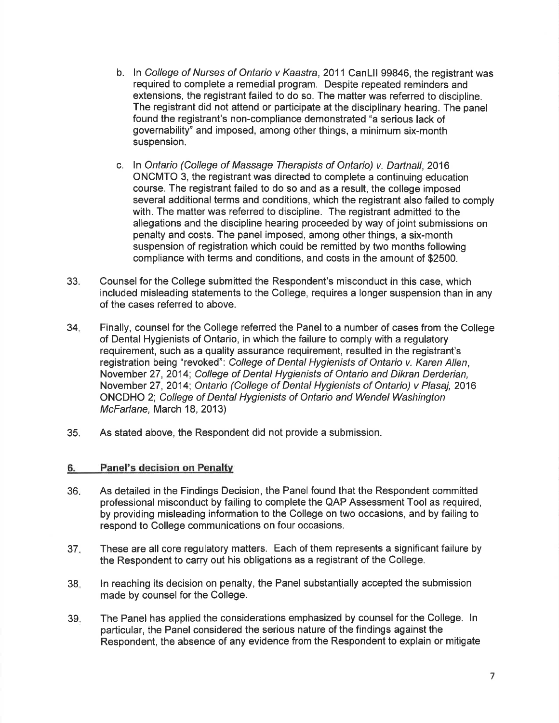- b. In College of Nurses of Ontario v Kaastra, 2011 CanLII 99846, the registrant was required to complete a remedial program. Despite repeated reminders and extensions, the registrant failed to do so. The matter was referred to discipline. The registrant did not attend or participate at the disciplinary hearing. The panel found the registrant's non-compliance demonstrated "a serious lack of governability" and imposed, among other things, a minimum six-month suspension.
- c. In Ontario (College of Massage Therapists of Ontario) v. Dartnall, 2016 ONCMTO 3, the registrant was directed to complete a continuing education course. The registrant failed to do so and as a result, the college imposed several additional terms and conditions, which the registrant also failed to comply with. The matter was referred to discipline. The registrant admitted to the allegations and the discipline hearing proceeded by way of joint submissions on penalty and costs. The panel imposed, among other things, a six-month suspension of registration which could be remitted by two months following compliance with terms and conditions, and costs in the amount of \$2500.
- 33. Counsel for the College submitted the Respondent's misconduct in this case, which included misleading statements to the College, requires a longer suspension than in any of the cases referred to above.
- Finally, counsel for the College referred the Panel to a number of cases from the College of Dental Hygienists of Ontario, in which the failure to comply with a regulatory requirement, such as a quality assurance requirement, resulted in the registrant's registration being "revoked": College of Dental Hygienists of Ontario v. Karen Allen, November 27,2014; College of Dental Hygienists of Ontario and Dikran Derderian, November 27,2014; Ontario (College of Dental Hygienists of Ontario) v Plasaj, 2016 ONCDHO 2; College of Dental Hygienists of Ontario and Wendel Washington McFarlane, March 18, 2013) 34.
- 35. As stated above, the Respondent did not provide a submission.

### 6. Panel's decision on Penaltv

- As detailed in the Findings Decision, the Panel found that the Respondent committed professional misconduct by failing to complete the QAP Assessment Tool as required, by providing misleading information to the College on two occasions, and by failing to respond to College communications on four occasions. 36
- These are all core regulatory matters. Each of them represents a significant failure by the Respondent to carry out his obligations as a registrant of the College. 37
- ln reaching its decision on penalty, the Panel substantially accepted the submission made by counsel for the College. 38
- The Panel has applied the considerations emphasized by counsel for the College. ln particular, the Panel considered the serious nature of the findings against the Respondent, the absence of any evidence from the Respondent to explain or mitigate 39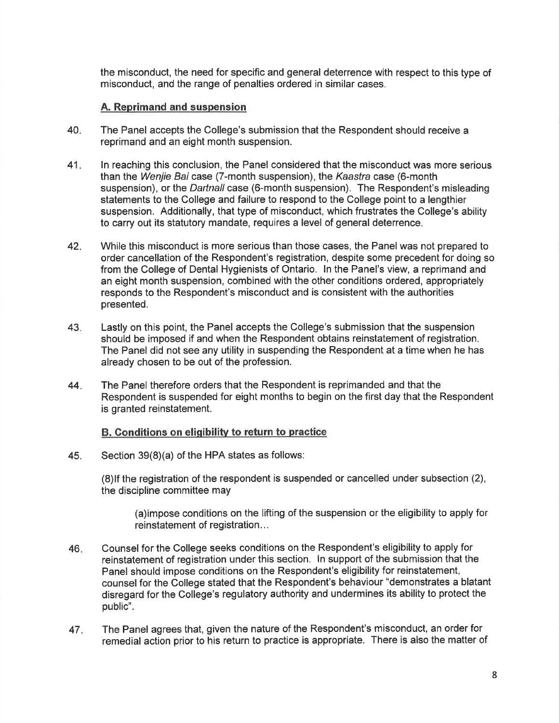the misconduct, the need for specific and general deterrence with respect to this type of misconduct, and the range of penalties ordered in similar cases.

#### A. Reprimand and suspension

- 40 The Panel accepts the College's submission that the Respondent should receive a reprimand and an eight month suspension.
- ln reaching this conclusion, the Panel considered that the misconduct was more serious than the Wenjie Bai case (7-month suspension), the Kaastra case (6-month suspension), or the *Dartnall* case (6-month suspension). The Respondent's misleading statements to the College and failure to respond to the College point to a lengthier suspension. Additionally, that type of misconduct, which frustrates the College's ability to carry out its statutory mandate, requires a level of general deterrence. 41
- While this misconduct is more serious than those cases, the Panel was not prepared to order cancellation of the Respondent's registration, despite some precedent for doing so from the College of Dental Hygienists of Ontario. ln the Panel's view, a reprimand and an eight month suspension, combined with the other conditions ordered, appropriately responds to the Respondent's misconduct and is consistent with the authorities presented. 42
- Lastly on this point, the Panel accepts the College's submission that the suspension should be imposed if and when the Respondent obtains reinstatement of registration. The Panel did not see any utility in suspending the Respondent at a time when he has already chosen to be out of the profession. 43
- The Panel therefore orders that the Respondent is reprimanded and that the Respondent is suspended for eight months to begin on the first day that the Respondent is granted reinstatement. 44

#### B. Conditions on eligibility to return to practice

45. Section  $39(8)(a)$  of the HPA states as follows:

(8)lf the registration of the respondent is suspended or cancelled under subsection (2), the discipline committee may

(a)impose conditions on the lifting of the suspension or the eligibility to apply for reinstatement of registration...

- Counsel for the College seeks conditions on the Respondent's eligibility to apply for reinstatement of registration under this section. ln support of the submission that the Panel should impose conditions on the Respondent's eligibility for reinstatement, counsel for the College stated that the Respondent's behaviour "demonstrates a blatant disregard for the College's regulatory authority and undermines its ability to protect the public". 46
- The Panel agrees that, given the nature of the Respondent's misconduct, an order for remedial action prior to his return to practice is appropriate. There is also the matter of 47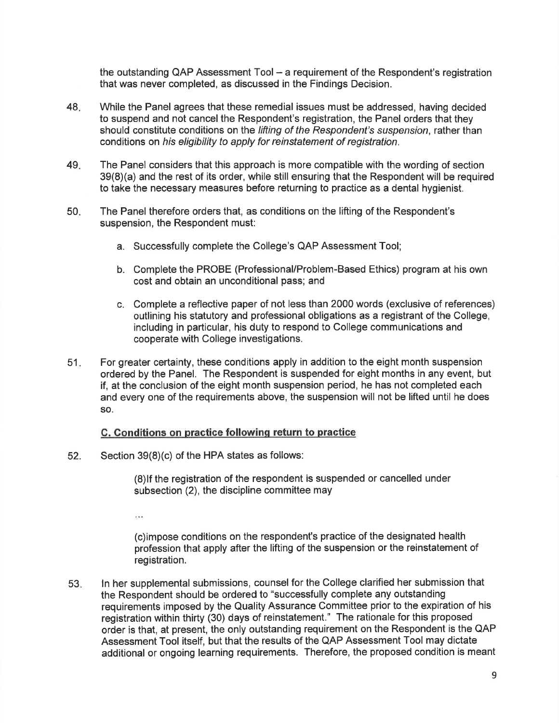the outstanding QAP Assessment  $Tool - a$  requirement of the Respondent's registration that was never completed, as discussed in the Findings Decision.

- 48 While the Panel agrees that these remedial issues must be addressed, having decided to suspend and not cancel the Respondent's registration, the Panel orders that they should constitute conditions on the lifting of the Respondent's suspension, rather than conditions on his eligibility to apply for reinstatement of registration.
- The Panel considers that this approach is more compatible with the wording of section  $39(8)(a)$  and the rest of its order, while still ensuring that the Respondent will be required to take the necessary measures before returning to practice as a dental hygienist. 49
- The Panel therefore orders that, as conditions on the lifting of the Respondent's suspension, the Respondent must: 50
	- a. Successfully complete the College's QAP Assessment Tool;
	- b. Complete the PROBE (Professional/Problem-Based Ethics) program at his own cost and obtain an unconditional pass; and
	- c. Complete a reflective paper of not less than 2000 words (exclusive of references) outlining his statutory and professional obligations as a registrant of the College, including in particular, his duty to respond to College communications and cooperate with Gollege investigations.
- For greater certainty, these conditions apply in addition to the eight month suspension ordered by the Panel. The Respondent is suspended for eight months in any event, but if, at the conclusion of the eight month suspension period, he has not completed each and every one of the requirements above, the suspension will not be lifted until he does so. 51

#### C. Conditions on practice following return to practice

Section  $39(8)(c)$  of the HPA states as follows: 52.

> (8)lf the registration of the respondent is suspended or cancelled under subsection (2), the discipline committee may

es s

(c)impose conditions on the respondent's practice of the designated health profession that apply after the lifting of the suspension or the reinstatement of registration.

ln her supplemental submissions, counsel for the College clarified her submission that the Respondent should be ordered to "successfully complete any outstanding requirements imposed by the Quality Assurance Committee prior to the expiration of his registration within thirty (30) days of reinstatement." The rationale for this proposed order is that, at present, the only outstanding requirement on the Respondent is the QAP Assessment Tool itself, but that the results of the QAP Assessment Tool may dictate additional or ongoing learning requirements. Therefore, the proposed condition is meant 53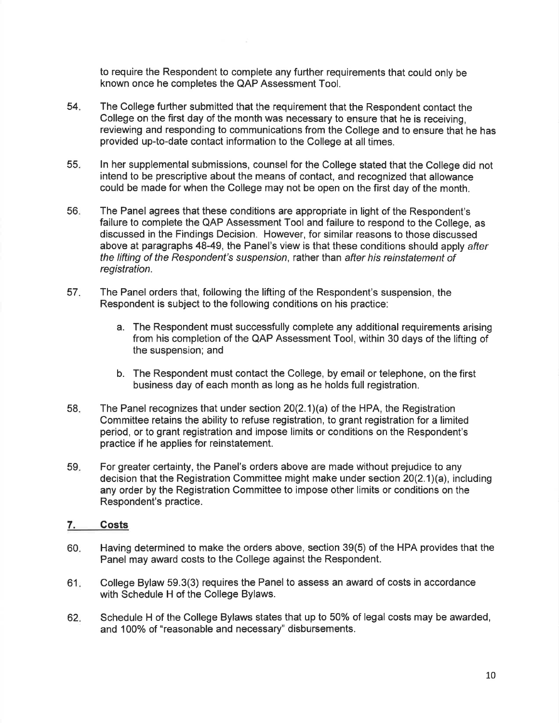to require the Respondent to complete any further requirements that could only be known once he completes the QAP Assessment Tool.

- 54 The College further submitted that the requirement that the Respondent contact the College on the first day of the month was necessary to ensure that he is receiving, reviewing and responding to communications from the College and to ensure that he has provided up-to-date contact information to the College at all times.
- 55 ln her supplemental submissions, counsel for the College stated that the College did not intend to be prescriptive about the means of contact, and recognized that allowance could be made for when the College may not be open on the first day of the month.
- 56 The Panel agrees that these conditions are appropriate in light of the Respondent's failure to complete the QAP Assessment Tool and failure to respond to the College, as discussed in the Findings Decision. However, for similar reasons to those discussed above at paragraphs 48-49, the Panel's view is that these conditions should apply after the lifting of the Respondenf's suspension, rather than after his reinstatement of registration.
- The Panel orders that, following the lifting of the Respondent's suspension, the Respondent is subject to the following conditions on his practice: 57
	- a. The Respondent must successfully complete any additional requirements arising from his completion of the QAP Assessment Tool, within 30 days of the lifting of the suspension; and
	- b. The Respondent must contact the College, by email or telephone, on the first business day of each month as long as he holds full registration.
- The Panel recognizes that under section 2O(2.1)(a) of the HPA, the Registration Committee retains the ability to refuse registration, to grant registration for a limited period, or to grant registration and impose limits or conditions on the Respondent's practice if he applies for reinstatement. 58
- For greater certainty, the Panel's orders above are made without prejudice to any decision that the Registration Committee might make under section 20(2.1)(a), including any order by the Registration Committee to impose other limits or conditions on the Respondent's practice. 59

# 7. Costs

- 60 Having determined to make the orders above, section 39(5) of the HPA provides that the Panel may award costs to the College against the Respondent.
- $61<sub>1</sub>$ College Bylaw 59.3(3) requires the Panel to assess an award of costs in accordance with Schedule H of the College Bylaws.
- Schedule H of the College Bylaws states that up to 50% of legal costs may be awarded, and 100% of "reasonable and necessary" disbursements. 62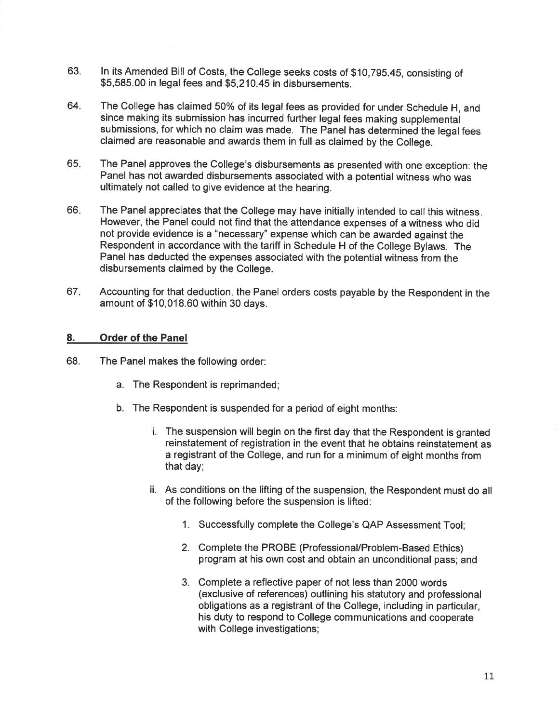- 63. ln its Amended Bill of Costs, the College seeks costs of \$10,795.45, consisting of \$5,585.00 in legal fees and \$5,210.45 in disbursements.
- 64. The College has claimed 50% of its legal fees as provided for under Schedule H, and since making its submission has incurred further legal fees making supplemental submissions, for which no claim was made. The Panel has determined the legal fees claimed are reasonable and awards them in full as claimed by the college.
- 65 The Panel approves the College's disbursements as presented with one exception: the Panel has not awarded disbursements associated with a potential witness who was ultimately not called to give evidence at the hearing.
- 66 The Panel appreciates that the College may have initially intended to call this witness. However, the Panel could not find that the attendance expenses of a witness who did not provide evidence is a "necessary" expense which can be awarded against the Respondent in accordance with the tariff in Schedule H of the College Bylaws. The Panel has deducted the expenses associated with the potential witness from the disbursements claimed by the College.
- Accounting for that deduction, the Panel orders costs payable by the Respondent in the amount of \$10,018.60 within 30 days. 67

# 8. Order of the Panel

- 68. The Panel makes the following order:
	- a. The Respondent is reprimanded;
	- b. The Respondent is suspended for a period of eight months:
		- **The suspension will begin on the first day that the Respondent is granted** reinstatement of registration in the event that he obtains reinstatement as a registrant of the College, and run for a minimum of eight months from that day;
		- ii. As conditions on the lifting of the suspension, the Respondent must do all of the following before the suspension is lifted:
			- 1. Successfully complete the College's QAP Assessment Tool;
			- 2. Complete the PROBE (Professional/Problem-Based Ethics) program at his own cost and obtain an unconditional pass; and
			- 3. Complete a reflective paper of not less than 2000 words (exclusive of references) outlining his statutory and professional obligations as a registrant of the College, including in particular, his duty to respond to College communications and cooperate with College investigations;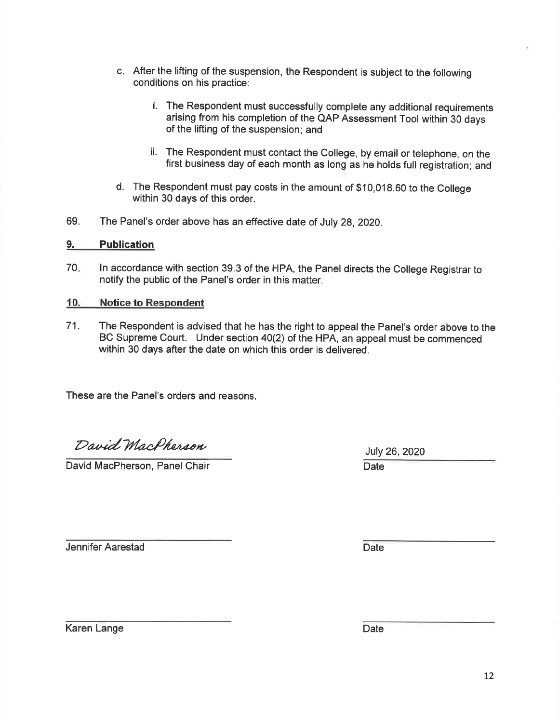- c. After the lifting of the suspension, the Respondent is subject to the following conditions on his practice:
	- t. The Respondent must successfully complete any additional requirements arising from his completion of the QAP Assessment Tool within 30 days of the lifting of the suspension; and
	- ii. The Respondent must contact the College, by email or telephone, on the first business day of each month as long as he holds full registration; and
- d. The Respondent must pay costs in the amount of \$10,018.60 to the College within 30 days of this order.
- 69. The Panel's order above has an effective date of July 28, 2020.

### 9. Publication

70 ln accordance with section 39.3 of the HPA, the Panel directs the College Registrar to notify the public of the Panel's order in this matter.

#### 10. Notice to Respondent

71. The Respondent is advised that he has the right to appeal the Panel's order above to the BC Supreme Court. Under section 40(2) of the HPA, an appeal must be commenced within 30 days after the date on which this order is delivered.

These are the Panel's orders and reasons.

David MacPherson

David MacPherson, Panel Chair Date

**Jennifer Aarestad Date** 

Karen Lange Date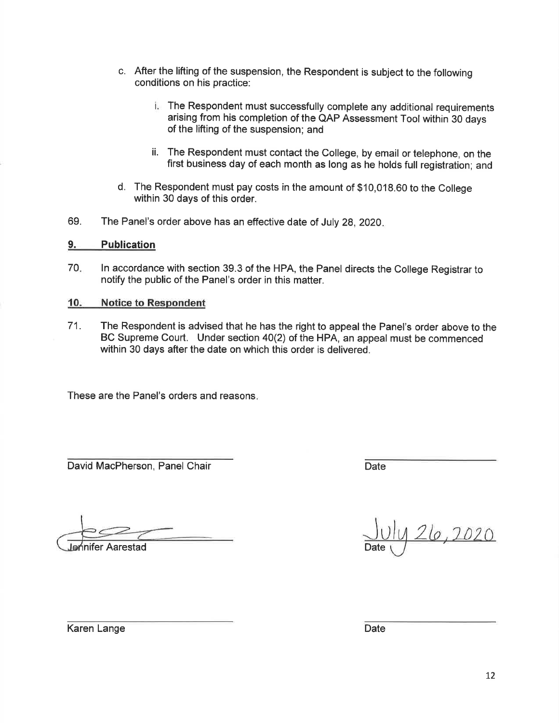- c. After the lifting of the suspension, the Respondent is subject to the following conditions on his practice:
	- The Respondent must successfully complete any additional requirements arising from his completion of the QAP Assessment Tool within 30 days of the lifting of the suspension; and
	- ii. The Respondent must contact the College, by email or telephone, on the first business day of each month as long as he holds full registration; and
- d. The Respondent must pay costs in the amount of \$10,018.60 to the college within 30 days of this order.
- 69. The Panel's order above has an effective date of July 28,2020

#### 9. Publication

70 ln accordance with section 39.3 of the HPA, the Panel directs the College Registrar to notify the public of the Panel's order in this matter.

#### 10. Notice to Respondent

71. The Respondent is advised that he has the right to appeal the Panel's order above to the BC Supreme Court. Under section 40(2) of the HPA, an appeal must be commenced within 30 days after the date on which this order is delivered.

These are the Panel's orders and reasons

David MacPherson, Panel Chair Date Date Date

nifer Aarestad

26,2020

Karen Lange Date